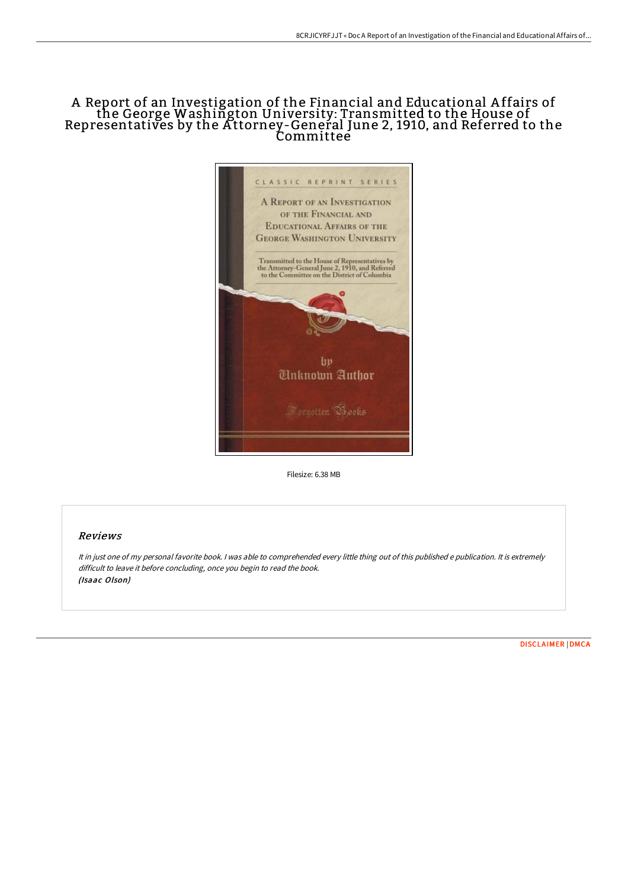## A Report of an Investigation of the Financial and Educational A ffairs of the George Washington University: Transmitted to the House of Representatives by the Attorney-Geneŕal June 2, 1910, and Referred to the Committee



Filesize: 6.38 MB

## Reviews

It in just one of my personal favorite book. <sup>I</sup> was able to comprehended every little thing out of this published <sup>e</sup> publication. It is extremely difficult to leave it before concluding, once you begin to read the book. (Isaac Olson)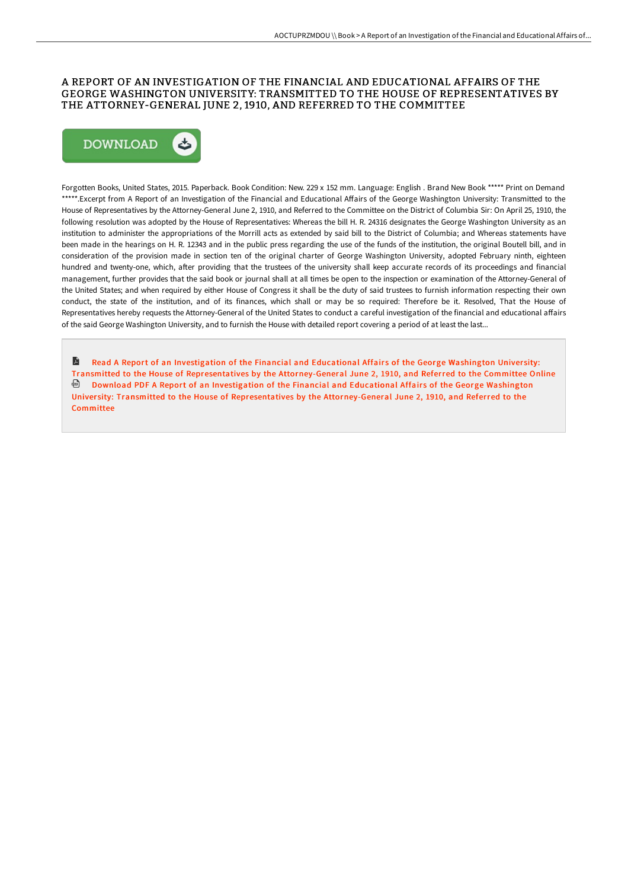## A REPORT OF AN INVESTIGATION OF THE FINANCIAL AND EDUCATIONAL AFFAIRS OF THE GEORGE WASHINGTON UNIVERSITY: TRANSMITTED TO THE HOUSE OF REPRESENTATIVES BY THE ATTORNEY-GENERAL JUNE 2, 1910, AND REFERRED TO THE COMMITTEE



Forgotten Books, United States, 2015. Paperback. Book Condition: New. 229 x 152 mm. Language: English . Brand New Book \*\*\*\*\* Print on Demand \*\*\*\*\*.Excerpt from A Report of an Investigation of the Financial and Educational Affairs of the George Washington University: Transmitted to the House of Representatives by the Attorney-General June 2, 1910, and Referred to the Committee on the District of Columbia Sir: On April 25, 1910, the following resolution was adopted by the House of Representatives: Whereas the bill H. R. 24316 designates the George Washington University as an institution to administer the appropriations of the Morrill acts as extended by said bill to the District of Columbia; and Whereas statements have been made in the hearings on H. R. 12343 and in the public press regarding the use of the funds of the institution, the original Boutell bill, and in consideration of the provision made in section ten of the original charter of George Washington University, adopted February ninth, eighteen hundred and twenty-one, which, after providing that the trustees of the university shall keep accurate records of its proceedings and financial management, further provides that the said book or journal shall at all times be open to the inspection or examination of the Attorney-General of the United States; and when required by either House of Congress it shall be the duty of said trustees to furnish information respecting their own conduct, the state of the institution, and of its finances, which shall or may be so required: Therefore be it. Resolved, That the House of Representatives hereby requests the Attorney-General of the United States to conduct a careful investigation of the financial and educational affairs of the said George Washington University, and to furnish the House with detailed report covering a period of at least the last...

E Read A Report of an Investigation of the Financial and Educational Affairs of the George Washington University: Transmitted to the House of Representatives by the [Attorney-General](http://albedo.media/a-report-of-an-investigation-of-the-financial-an.html) June 2, 1910, and Referred to the Committee Online Download PDF A Report of an Investigation of the Financial and Educational Affair s of the George Washington University: Transmitted to the House of Representatives by the [Attorney-General](http://albedo.media/a-report-of-an-investigation-of-the-financial-an.html) June 2, 1910, and Referred to the **Committee**